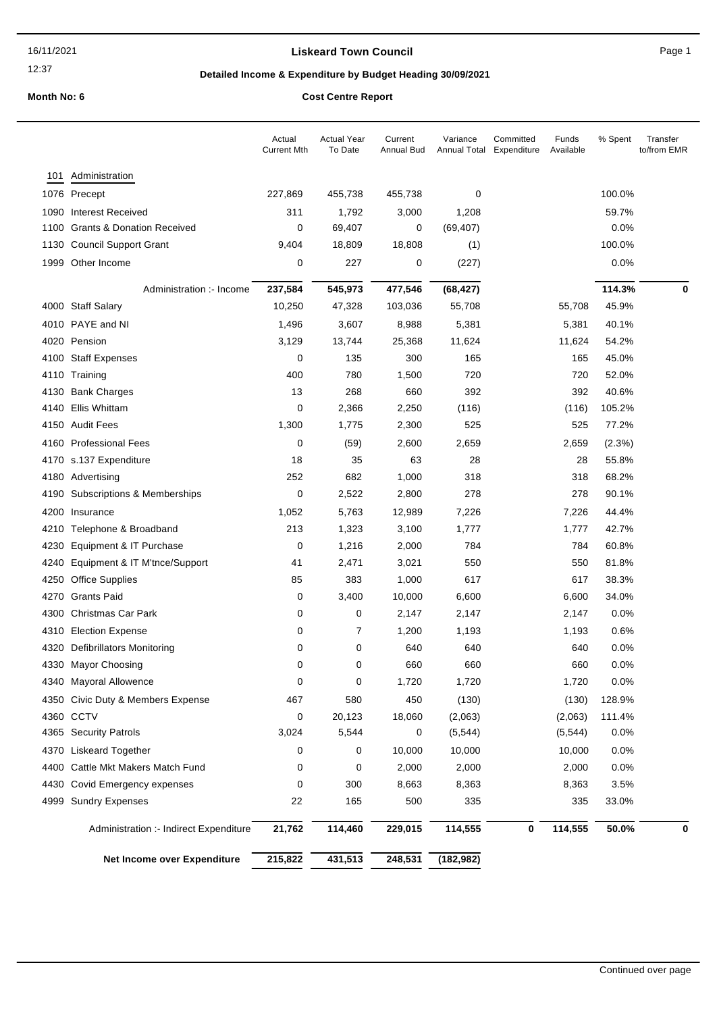### **Liskeard Town Council Canadian Council** Page 1

# **Detailed Income & Expenditure by Budget Heading 30/09/2021**

|     |                                        | Actual<br><b>Current Mth</b> | <b>Actual Year</b><br>To Date | Current<br>Annual Bud | Variance   | Committed<br>Annual Total Expenditure | Funds<br>Available | % Spent | Transfer<br>to/from EMR |
|-----|----------------------------------------|------------------------------|-------------------------------|-----------------------|------------|---------------------------------------|--------------------|---------|-------------------------|
| 101 | Administration                         |                              |                               |                       |            |                                       |                    |         |                         |
|     | 1076 Precept                           | 227,869                      | 455,738                       | 455,738               | 0          |                                       |                    | 100.0%  |                         |
|     | 1090 Interest Received                 | 311                          | 1,792                         | 3,000                 | 1,208      |                                       |                    | 59.7%   |                         |
|     | 1100 Grants & Donation Received        | 0                            | 69,407                        | 0                     | (69, 407)  |                                       |                    | 0.0%    |                         |
|     | 1130 Council Support Grant             | 9,404                        | 18,809                        | 18,808                | (1)        |                                       |                    | 100.0%  |                         |
|     | 1999 Other Income                      | 0                            | 227                           | 0                     | (227)      |                                       |                    | 0.0%    |                         |
|     | Administration :- Income               | 237,584                      | 545,973                       | 477,546               | (68, 427)  |                                       |                    | 114.3%  | 0                       |
|     | 4000 Staff Salary                      | 10,250                       | 47,328                        | 103,036               | 55,708     |                                       | 55,708             | 45.9%   |                         |
|     | 4010 PAYE and NI                       | 1,496                        | 3,607                         | 8,988                 | 5,381      |                                       | 5,381              | 40.1%   |                         |
|     | 4020 Pension                           | 3,129                        | 13,744                        | 25,368                | 11,624     |                                       | 11,624             | 54.2%   |                         |
|     | 4100 Staff Expenses                    | 0                            | 135                           | 300                   | 165        |                                       | 165                | 45.0%   |                         |
|     | 4110 Training                          | 400                          | 780                           | 1,500                 | 720        |                                       | 720                | 52.0%   |                         |
|     | 4130 Bank Charges                      | 13                           | 268                           | 660                   | 392        |                                       | 392                | 40.6%   |                         |
|     | 4140 Ellis Whittam                     | 0                            | 2,366                         | 2,250                 | (116)      |                                       | (116)              | 105.2%  |                         |
|     | 4150 Audit Fees                        | 1,300                        | 1,775                         | 2,300                 | 525        |                                       | 525                | 77.2%   |                         |
|     | 4160 Professional Fees                 | 0                            | (59)                          | 2,600                 | 2,659      |                                       | 2,659              | (2.3%)  |                         |
|     | 4170 s.137 Expenditure                 | 18                           | 35                            | 63                    | 28         |                                       | 28                 | 55.8%   |                         |
|     | 4180 Advertising                       | 252                          | 682                           | 1,000                 | 318        |                                       | 318                | 68.2%   |                         |
|     | 4190 Subscriptions & Memberships       | 0                            | 2,522                         | 2,800                 | 278        |                                       | 278                | 90.1%   |                         |
|     | 4200 Insurance                         | 1,052                        | 5,763                         | 12,989                | 7,226      |                                       | 7,226              | 44.4%   |                         |
|     | 4210 Telephone & Broadband             | 213                          | 1,323                         | 3,100                 | 1,777      |                                       | 1,777              | 42.7%   |                         |
|     | 4230 Equipment & IT Purchase           | 0                            | 1,216                         | 2,000                 | 784        |                                       | 784                | 60.8%   |                         |
|     | 4240 Equipment & IT M'tnce/Support     | 41                           | 2,471                         | 3,021                 | 550        |                                       | 550                | 81.8%   |                         |
|     | 4250 Office Supplies                   | 85                           | 383                           | 1,000                 | 617        |                                       | 617                | 38.3%   |                         |
|     | 4270 Grants Paid                       | 0                            | 3,400                         | 10,000                | 6,600      |                                       | 6,600              | 34.0%   |                         |
|     | 4300 Christmas Car Park                | 0                            | 0                             | 2,147                 | 2,147      |                                       | 2,147              | 0.0%    |                         |
|     | 4310 Election Expense                  | 0                            | 7                             | 1,200                 | 1,193      |                                       | 1,193              | 0.6%    |                         |
|     | 4320 Defibrillators Monitoring         | 0                            | 0                             | 640                   | 640        |                                       | 640                | 0.0%    |                         |
|     | 4330 Mayor Choosing                    | 0                            | $\mathbf 0$                   | 660                   | 660        |                                       | 660                | 0.0%    |                         |
|     | 4340 Mayoral Allowence                 | 0                            | 0                             | 1,720                 | 1,720      |                                       | 1,720              | 0.0%    |                         |
|     | 4350 Civic Duty & Members Expense      | 467                          | 580                           | 450                   | (130)      |                                       | (130)              | 128.9%  |                         |
|     | 4360 CCTV                              | 0                            | 20,123                        | 18,060                | (2,063)    |                                       | (2,063)            | 111.4%  |                         |
|     | 4365 Security Patrols                  | 3,024                        | 5,544                         | 0                     | (5, 544)   |                                       | (5, 544)           | 0.0%    |                         |
|     | 4370 Liskeard Together                 | 0                            | 0                             | 10,000                | 10,000     |                                       | 10,000             | 0.0%    |                         |
|     | 4400 Cattle Mkt Makers Match Fund      | 0                            | 0                             | 2,000                 | 2,000      |                                       | 2,000              | 0.0%    |                         |
|     | 4430 Covid Emergency expenses          | 0                            | 300                           | 8,663                 | 8,363      |                                       | 8,363              | 3.5%    |                         |
|     | 4999 Sundry Expenses                   | 22                           | 165                           | 500                   | 335        |                                       | 335                | 33.0%   |                         |
|     | Administration :- Indirect Expenditure | 21,762                       | 114,460                       | 229,015               | 114,555    | 0                                     | 114,555            | 50.0%   | 0                       |
|     | Net Income over Expenditure            | 215,822                      | 431,513                       | 248,531               | (182, 982) |                                       |                    |         |                         |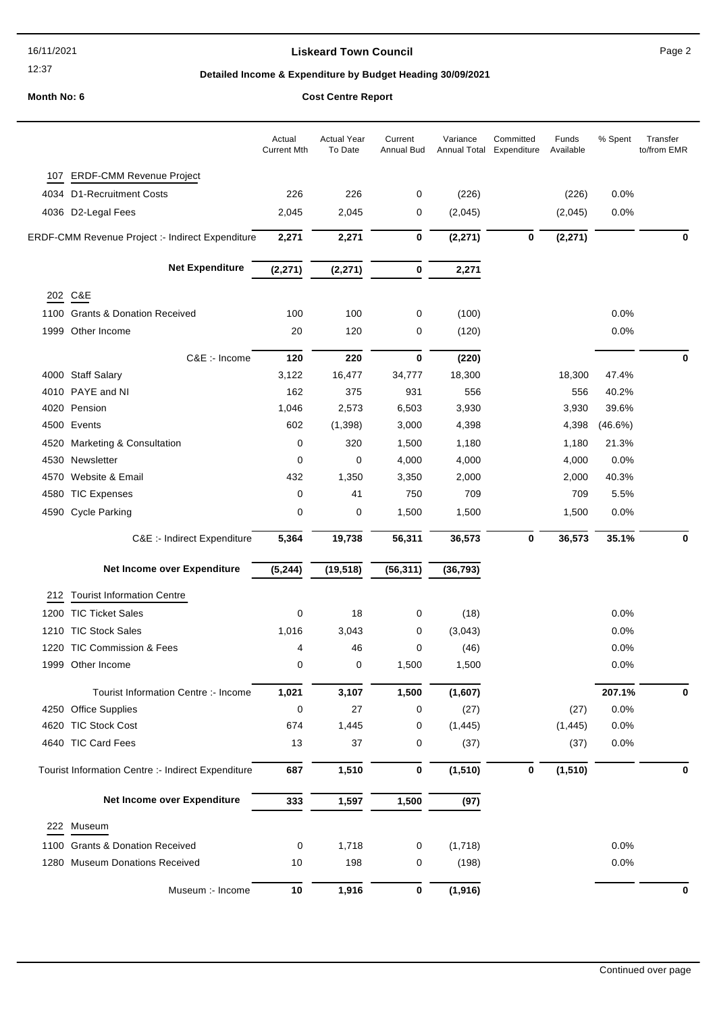### **Liskeard Town Council Council Page 2**

### **Detailed Income & Expenditure by Budget Heading 30/09/2021**

**Month No: 6 Cost Centre Report**

### Actual Year To Date Current Annual Bud Variance Annual Total Expenditure Committed Funds Available Actual Current Mth % Spent Transfer to/from EMR 107 ERDF-CMM Revenue Project 4034 D1-Recruitment Costs 226 226 0 (226) (226) 0.0% 4036 D2-Legal Fees 2,045 2,045 0 (2,045) (2,045) 0.0% ERDF-CMM Revenue Project :- Indirect Expenditure **2,271 2,271 0 (2,271) 0 (2,271) 0 Net Expenditure (2,271) (2,271) 0 2,271** 202 C&E 1100 Grants & Donation Received 100 100 0 100 0 100 0 100 0.0% 1999 Other Income 20 120 0 (120) 0.0% C&E :- Income **120 220 0 (220) 0** 4000 Staff Salary 18,300 17.4% 3,122 16,477 34,777 18,300 18,300 18,300 17.4% 4010 PAYE and NI 162 375 931 556 556 40.2% 4020 Pension 1,046 2,573 6,503 3,930 3,930 39.6% 4500 Events 602 (1,398) 3,000 4,398 4,398 (46.6%) 4520 Marketing & Consultation 0 320 1,500 1,180 1,180 21.3% 4530 Newsletter **120 12 12 13 130 14,000 14,000 14,000 14,000** 14,000 160% 4570 Website & Email 432 1,350 3,350 2,000 2,000 40.3% 4580 TIC Expenses 0 41 750 709 709 5.5% 4590 Cycle Parking  $\begin{array}{cccc} 0 & 0 & 1,500 & 1,500 & 1,500 \end{array}$  1,500 0.0% C&E :- Indirect Expenditure **5,364 19,738 56,311 36,573 0 36,573 35.1% 0 Net Income over Expenditure (5,244) (19,518) (56,311) (36,793)** 212 Tourist Information Centre 1200 TIC Ticket Sales 6 18 0 18 0 18 1200 18 1200 18 1200 18 1210 TIC Stock Sales 1,016 3,043 0 (3,043) 0.0% 1220 TIC Commission & Fees  $\begin{array}{ccc} 4 & 46 & 0 & (46) & (47) \\ 1 & 4 & 46 & 0 & (48) \end{array}$ 1999 Other Income 0 0 1,500 1,500 0.0% Tourist Information Centre :- Income **1,021 3,107 1,500 (1,607) 207.1% 0** 4250 Office Supplies  $0$  27 0 (27) (27) 0.0% 4620 TIC Stock Cost 674 1,445 0 (1,445) (1,445) 0.0%

|     |                                                    |     |       |             | $\cdots$ |   | $\cdots$ |      |   |
|-----|----------------------------------------------------|-----|-------|-------------|----------|---|----------|------|---|
|     | 4640 TIC Card Fees                                 | 13  | 37    | 0           | (37)     |   | (37)     | 0.0% |   |
|     | Tourist Information Centre :- Indirect Expenditure | 687 | 1,510 | $\mathbf 0$ | (1, 510) | 0 | (1, 510) |      | u |
|     | Net Income over Expenditure                        | 333 | 1.597 | 1,500       | (97)     |   |          |      |   |
| 222 | Museum                                             |     |       |             |          |   |          |      |   |
|     | 1100 Grants & Donation Received                    | 0   | 1,718 | 0           | (1,718)  |   |          | 0.0% |   |
|     | 1280 Museum Donations Received                     | 10  | 198   | 0           | (198)    |   |          | 0.0% |   |
|     | Museum :- Income                                   | 10  | 1,916 | 0           | (1, 916) |   |          |      | u |
|     |                                                    |     |       |             |          |   |          |      |   |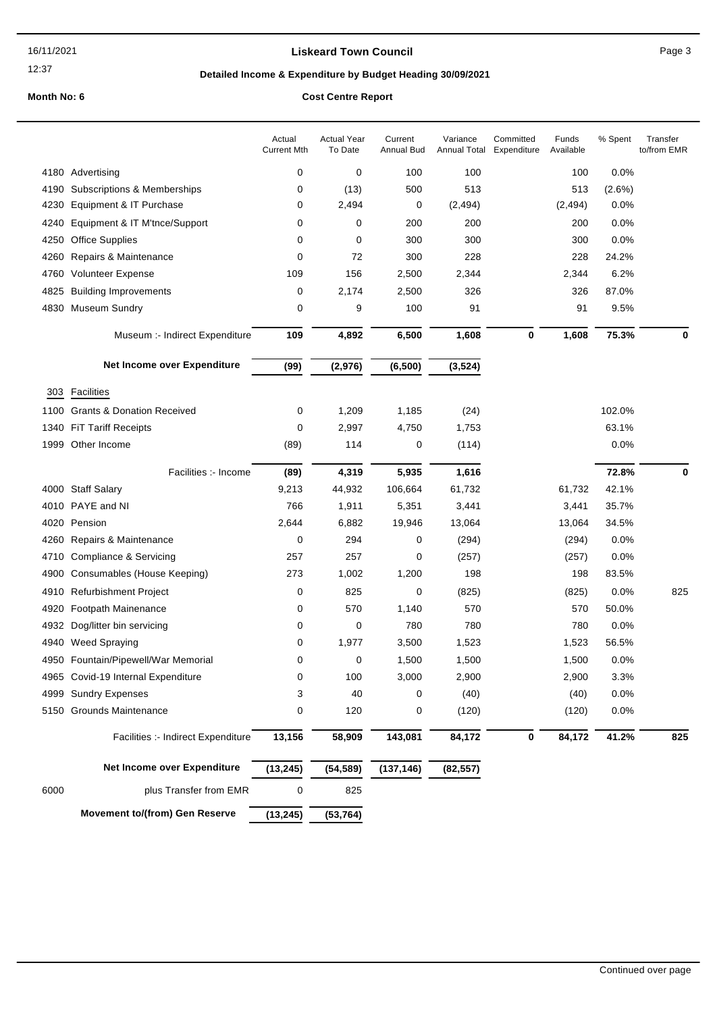### **Liskeard Town Council Canadian Council** Page 3

# **Detailed Income & Expenditure by Budget Heading 30/09/2021**

|      |                                       | Actual<br><b>Current Mth</b> | <b>Actual Year</b><br>To Date | Current<br>Annual Bud | Variance<br>Annual Total | Committed<br>Expenditure | Funds<br>Available | % Spent   | Transfer<br>to/from EMR |
|------|---------------------------------------|------------------------------|-------------------------------|-----------------------|--------------------------|--------------------------|--------------------|-----------|-------------------------|
|      | 4180 Advertising                      | 0                            | 0                             | 100                   | 100                      |                          | 100                | 0.0%      |                         |
| 4190 | Subscriptions & Memberships           | 0                            | (13)                          | 500                   | 513                      |                          | 513                | $(2.6\%)$ |                         |
| 4230 | Equipment & IT Purchase               | 0                            | 2,494                         | 0                     | (2, 494)                 |                          | (2, 494)           | 0.0%      |                         |
| 4240 | Equipment & IT M'tnce/Support         | 0                            | 0                             | 200                   | 200                      |                          | 200                | 0.0%      |                         |
| 4250 | <b>Office Supplies</b>                | 0                            | 0                             | 300                   | 300                      |                          | 300                | 0.0%      |                         |
| 4260 | Repairs & Maintenance                 | 0                            | 72                            | 300                   | 228                      |                          | 228                | 24.2%     |                         |
| 4760 | <b>Volunteer Expense</b>              | 109                          | 156                           | 2,500                 | 2,344                    |                          | 2,344              | 6.2%      |                         |
| 4825 | <b>Building Improvements</b>          | 0                            | 2,174                         | 2,500                 | 326                      |                          | 326                | 87.0%     |                         |
|      | 4830 Museum Sundry                    | 0                            | 9                             | 100                   | 91                       |                          | 91                 | 9.5%      |                         |
|      | Museum :- Indirect Expenditure        | 109                          | 4,892                         | 6,500                 | 1,608                    | 0                        | 1,608              | 75.3%     | 0                       |
|      | Net Income over Expenditure           | (99)                         | (2,976)                       | (6, 500)              | (3, 524)                 |                          |                    |           |                         |
| 303  | Facilities                            |                              |                               |                       |                          |                          |                    |           |                         |
| 1100 | <b>Grants &amp; Donation Received</b> | 0                            | 1,209                         | 1,185                 | (24)                     |                          |                    | 102.0%    |                         |
| 1340 | <b>FiT Tariff Receipts</b>            | 0                            | 2,997                         | 4,750                 | 1,753                    |                          |                    | 63.1%     |                         |
| 1999 | Other Income                          | (89)                         | 114                           | 0                     | (114)                    |                          |                    | 0.0%      |                         |
|      | Facilities :- Income                  | (89)                         | 4,319                         | 5,935                 | 1,616                    |                          |                    | 72.8%     | 0                       |
|      | 4000 Staff Salary                     | 9,213                        | 44,932                        | 106,664               | 61,732                   |                          | 61,732             | 42.1%     |                         |
|      | 4010 PAYE and NI                      | 766                          | 1,911                         | 5,351                 | 3,441                    |                          | 3,441              | 35.7%     |                         |
| 4020 | Pension                               | 2,644                        | 6,882                         | 19,946                | 13,064                   |                          | 13,064             | 34.5%     |                         |
| 4260 | Repairs & Maintenance                 | 0                            | 294                           | 0                     | (294)                    |                          | (294)              | 0.0%      |                         |
| 4710 | Compliance & Servicing                | 257                          | 257                           | 0                     | (257)                    |                          | (257)              | 0.0%      |                         |
| 4900 | Consumables (House Keeping)           | 273                          | 1,002                         | 1,200                 | 198                      |                          | 198                | 83.5%     |                         |
| 4910 | <b>Refurbishment Project</b>          | 0                            | 825                           | 0                     | (825)                    |                          | (825)              | 0.0%      | 825                     |
| 4920 | Footpath Mainenance                   | 0                            | 570                           | 1,140                 | 570                      |                          | 570                | 50.0%     |                         |
| 4932 | Dog/litter bin servicing              | 0                            | 0                             | 780                   | 780                      |                          | 780                | 0.0%      |                         |
| 4940 | <b>Weed Spraying</b>                  | 0                            | 1,977                         | 3,500                 | 1,523                    |                          | 1,523              | 56.5%     |                         |
|      | 4950 Fountain/Pipewell/War Memorial   | 0                            | 0                             | 1,500                 | 1,500                    |                          | 1,500              | 0.0%      |                         |
|      | 4965 Covid-19 Internal Expenditure    | 0                            | 100                           | 3,000                 | 2,900                    |                          | 2,900              | 3.3%      |                         |
|      | 4999 Sundry Expenses                  | 3                            | 40                            | 0                     | (40)                     |                          | (40)               | 0.0%      |                         |
|      | 5150 Grounds Maintenance              | 0                            | 120                           | 0                     | (120)                    |                          | (120)              | 0.0%      |                         |
|      | Facilities :- Indirect Expenditure    | 13,156                       | 58,909                        | 143,081               | 84,172                   | $\pmb{0}$                | 84,172             | 41.2%     | 825                     |
|      | Net Income over Expenditure           | (13, 245)                    | (54, 589)                     | (137, 146)            | (82, 557)                |                          |                    |           |                         |
| 6000 | plus Transfer from EMR                | 0                            | 825                           |                       |                          |                          |                    |           |                         |
|      | <b>Movement to/(from) Gen Reserve</b> | (13, 245)                    | (53, 764)                     |                       |                          |                          |                    |           |                         |
|      |                                       |                              |                               |                       |                          |                          |                    |           |                         |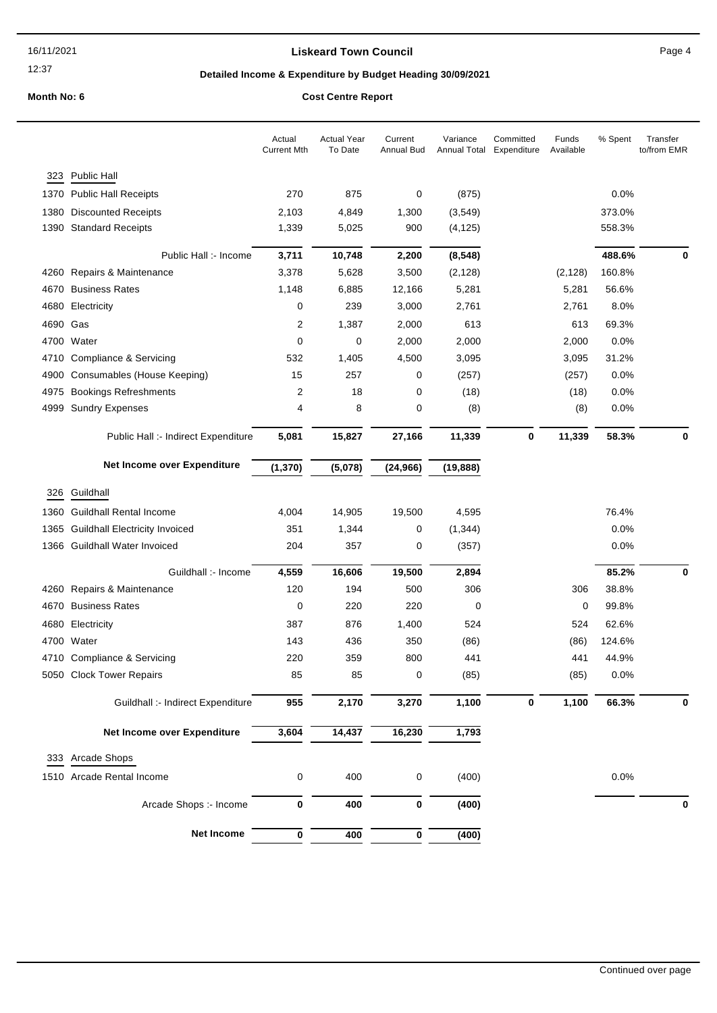### **Liskeard Town Council Canadian Council** Page 4

# **Detailed Income & Expenditure by Budget Heading 30/09/2021**

|          |                                     | Actual<br><b>Current Mth</b> | <b>Actual Year</b><br>To Date | Current<br>Annual Bud | Variance  | Committed<br>Annual Total Expenditure | Funds<br>Available | % Spent | Transfer<br>to/from EMR |
|----------|-------------------------------------|------------------------------|-------------------------------|-----------------------|-----------|---------------------------------------|--------------------|---------|-------------------------|
| 323      | Public Hall                         |                              |                               |                       |           |                                       |                    |         |                         |
|          | 1370 Public Hall Receipts           | 270                          | 875                           | 0                     | (875)     |                                       |                    | 0.0%    |                         |
| 1380     | <b>Discounted Receipts</b>          | 2,103                        | 4,849                         | 1,300                 | (3, 549)  |                                       |                    | 373.0%  |                         |
|          | 1390 Standard Receipts              | 1,339                        | 5,025                         | 900                   | (4, 125)  |                                       |                    | 558.3%  |                         |
|          |                                     |                              |                               |                       |           |                                       |                    |         |                         |
|          | Public Hall :- Income               | 3,711                        | 10,748                        | 2,200                 | (8, 548)  |                                       |                    | 488.6%  | 0                       |
| 4260     | Repairs & Maintenance               | 3,378                        | 5,628                         | 3,500                 | (2, 128)  |                                       | (2, 128)           | 160.8%  |                         |
| 4670     | <b>Business Rates</b>               | 1,148                        | 6,885                         | 12,166                | 5,281     |                                       | 5,281              | 56.6%   |                         |
| 4680     | Electricity                         | 0                            | 239                           | 3,000                 | 2,761     |                                       | 2,761              | 8.0%    |                         |
| 4690 Gas |                                     | 2                            | 1,387                         | 2,000                 | 613       |                                       | 613                | 69.3%   |                         |
|          | 4700 Water                          | 0                            | 0                             | 2,000                 | 2,000     |                                       | 2,000              | 0.0%    |                         |
| 4710     | Compliance & Servicing              | 532                          | 1,405                         | 4,500                 | 3,095     |                                       | 3,095              | 31.2%   |                         |
| 4900     | Consumables (House Keeping)         | 15                           | 257                           | 0                     | (257)     |                                       | (257)              | 0.0%    |                         |
| 4975     | <b>Bookings Refreshments</b>        | 2                            | 18                            | 0                     | (18)      |                                       | (18)               | 0.0%    |                         |
| 4999     | <b>Sundry Expenses</b>              | 4                            | 8                             | 0                     | (8)       |                                       | (8)                | 0.0%    |                         |
|          | Public Hall :- Indirect Expenditure | 5,081                        | 15,827                        | 27,166                | 11,339    | 0                                     | 11,339             | 58.3%   | 0                       |
|          | Net Income over Expenditure         | (1, 370)                     | (5,078)                       | (24, 966)             | (19, 888) |                                       |                    |         |                         |
|          |                                     |                              |                               |                       |           |                                       |                    |         |                         |
|          | 326 Guildhall                       |                              |                               |                       |           |                                       |                    |         |                         |
| 1360     | <b>Guildhall Rental Income</b>      | 4,004                        | 14,905                        | 19,500                | 4,595     |                                       |                    | 76.4%   |                         |
|          | 1365 Guildhall Electricity Invoiced | 351                          | 1,344                         | 0                     | (1, 344)  |                                       |                    | 0.0%    |                         |
|          | 1366 Guildhall Water Invoiced       | 204                          | 357                           | 0                     | (357)     |                                       |                    | 0.0%    |                         |
|          | Guildhall :- Income                 | 4,559                        | 16,606                        | 19,500                | 2,894     |                                       |                    | 85.2%   | 0                       |
|          | 4260 Repairs & Maintenance          | 120                          | 194                           | 500                   | 306       |                                       | 306                | 38.8%   |                         |
| 4670     | <b>Business Rates</b>               | 0                            | 220                           | 220                   | 0         |                                       | 0                  | 99.8%   |                         |
| 4680     | Electricity                         | 387                          | 876                           | 1,400                 | 524       |                                       | 524                | 62.6%   |                         |
|          | 4700 Water                          | 143                          | 436                           | 350                   | (86)      |                                       | (86)               | 124.6%  |                         |
|          | 4710 Compliance & Servicing         | 220                          | 359                           | 800                   | 441       |                                       | 441                | 44.9%   |                         |
|          | 5050 Clock Tower Repairs            | 85                           | 85                            | 0                     | (85)      |                                       | (85)               | 0.0%    |                         |
|          |                                     |                              |                               | 3,270                 |           | 0                                     | 1,100              | 66.3%   |                         |
|          | Guildhall :- Indirect Expenditure   | 955                          | 2,170                         |                       | 1,100     |                                       |                    |         | 0                       |
|          | Net Income over Expenditure         | 3,604                        | 14,437                        | 16,230                | 1,793     |                                       |                    |         |                         |
| 333      | Arcade Shops                        |                              |                               |                       |           |                                       |                    |         |                         |
|          | 1510 Arcade Rental Income           |                              | 400                           |                       | (400)     |                                       |                    | 0.0%    |                         |
|          |                                     | 0                            |                               | 0                     |           |                                       |                    |         |                         |
|          | Arcade Shops :- Income              | 0                            | 400                           | $\pmb{0}$             | (400)     |                                       |                    |         | 0                       |
|          | Net Income                          | 0                            | 400                           | 0                     | (400)     |                                       |                    |         |                         |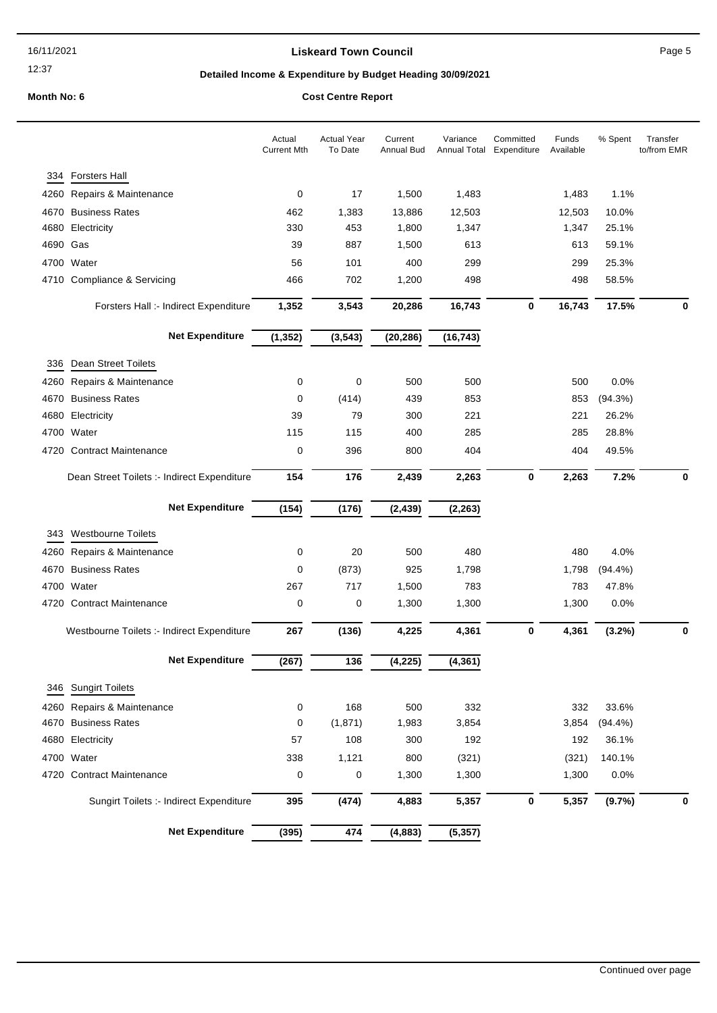### **Liskeard Town Council Canadian Council** Page 5

# **Detailed Income & Expenditure by Budget Heading 30/09/2021**

|          |                                             | Actual<br><b>Current Mth</b> | <b>Actual Year</b><br>To Date | Current<br>Annual Bud | Variance<br>Annual Total | Committed<br>Expenditure | Funds<br>Available | % Spent    | Transfer<br>to/from EMR |
|----------|---------------------------------------------|------------------------------|-------------------------------|-----------------------|--------------------------|--------------------------|--------------------|------------|-------------------------|
| 334      | <b>Forsters Hall</b>                        |                              |                               |                       |                          |                          |                    |            |                         |
| 4260     | Repairs & Maintenance                       | 0                            | 17                            | 1,500                 | 1,483                    |                          | 1,483              | 1.1%       |                         |
| 4670     | <b>Business Rates</b>                       | 462                          | 1,383                         | 13,886                | 12,503                   |                          | 12,503             | 10.0%      |                         |
| 4680     | Electricity                                 | 330                          | 453                           | 1,800                 | 1,347                    |                          | 1,347              | 25.1%      |                         |
| 4690 Gas |                                             | 39                           | 887                           | 1,500                 | 613                      |                          | 613                | 59.1%      |                         |
|          | 4700 Water                                  | 56                           | 101                           | 400                   | 299                      |                          | 299                | 25.3%      |                         |
|          | 4710 Compliance & Servicing                 | 466                          | 702                           | 1,200                 | 498                      |                          | 498                | 58.5%      |                         |
|          | Forsters Hall :- Indirect Expenditure       | 1,352                        | 3,543                         | 20,286                | 16,743                   | 0                        | 16,743             | 17.5%      | 0                       |
|          | <b>Net Expenditure</b>                      | (1, 352)                     | (3, 543)                      | (20, 286)             | (16, 743)                |                          |                    |            |                         |
| 336      | <b>Dean Street Toilets</b>                  |                              |                               |                       |                          |                          |                    |            |                         |
| 4260     | Repairs & Maintenance                       | 0                            | 0                             | 500                   | 500                      |                          | 500                | 0.0%       |                         |
| 4670     | <b>Business Rates</b>                       | 0                            | (414)                         | 439                   | 853                      |                          | 853                | (94.3%)    |                         |
| 4680     | Electricity                                 | 39                           | 79                            | 300                   | 221                      |                          | 221                | 26.2%      |                         |
|          | 4700 Water                                  | 115                          | 115                           | 400                   | 285                      |                          | 285                | 28.8%      |                         |
|          | 4720 Contract Maintenance                   | 0                            | 396                           | 800                   | 404                      |                          | 404                | 49.5%      |                         |
|          | Dean Street Toilets :- Indirect Expenditure | 154                          | 176                           | 2,439                 | 2,263                    | 0                        | 2,263              | 7.2%       | 0                       |
|          | <b>Net Expenditure</b>                      | (154)                        | (176)                         | (2, 439)              | (2, 263)                 |                          |                    |            |                         |
| 343      | <b>Westbourne Toilets</b>                   |                              |                               |                       |                          |                          |                    |            |                         |
| 4260     | Repairs & Maintenance                       | 0                            | 20                            | 500                   | 480                      |                          | 480                | 4.0%       |                         |
| 4670     | <b>Business Rates</b>                       | 0                            | (873)                         | 925                   | 1,798                    |                          | 1,798              | $(94.4\%)$ |                         |
|          | 4700 Water                                  | 267                          | 717                           | 1,500                 | 783                      |                          | 783                | 47.8%      |                         |
|          | 4720 Contract Maintenance                   | 0                            | 0                             | 1,300                 | 1,300                    |                          | 1,300              | 0.0%       |                         |
|          | Westbourne Toilets :- Indirect Expenditure  | 267                          | (136)                         | 4,225                 | 4,361                    | $\bf{0}$                 | 4,361              | (3.2%)     | 0                       |
|          | <b>Net Expenditure</b>                      | (267)                        | 136                           | (4, 225)              | (4, 361)                 |                          |                    |            |                         |
|          | 346 Sungirt Toilets                         |                              |                               |                       |                          |                          |                    |            |                         |
|          | 4260 Repairs & Maintenance                  | 0                            | 168                           | 500                   | 332                      |                          | 332                | 33.6%      |                         |
|          | 4670 Business Rates                         | 0                            | (1,871)                       | 1,983                 | 3,854                    |                          | 3,854              | $(94.4\%)$ |                         |
| 4680     | Electricity                                 | 57                           | 108                           | 300                   | 192                      |                          | 192                | 36.1%      |                         |
|          | 4700 Water                                  | 338                          | 1,121                         | 800                   | (321)                    |                          | (321)              | 140.1%     |                         |
|          | 4720 Contract Maintenance                   | 0                            | 0                             | 1,300                 | 1,300                    |                          | 1,300              | 0.0%       |                         |
|          |                                             |                              |                               |                       |                          |                          |                    |            |                         |
|          | Sungirt Toilets :- Indirect Expenditure     | 395                          | (474)                         | 4,883                 | 5,357                    | $\bf{0}$                 | 5,357              | (9.7%)     | 0                       |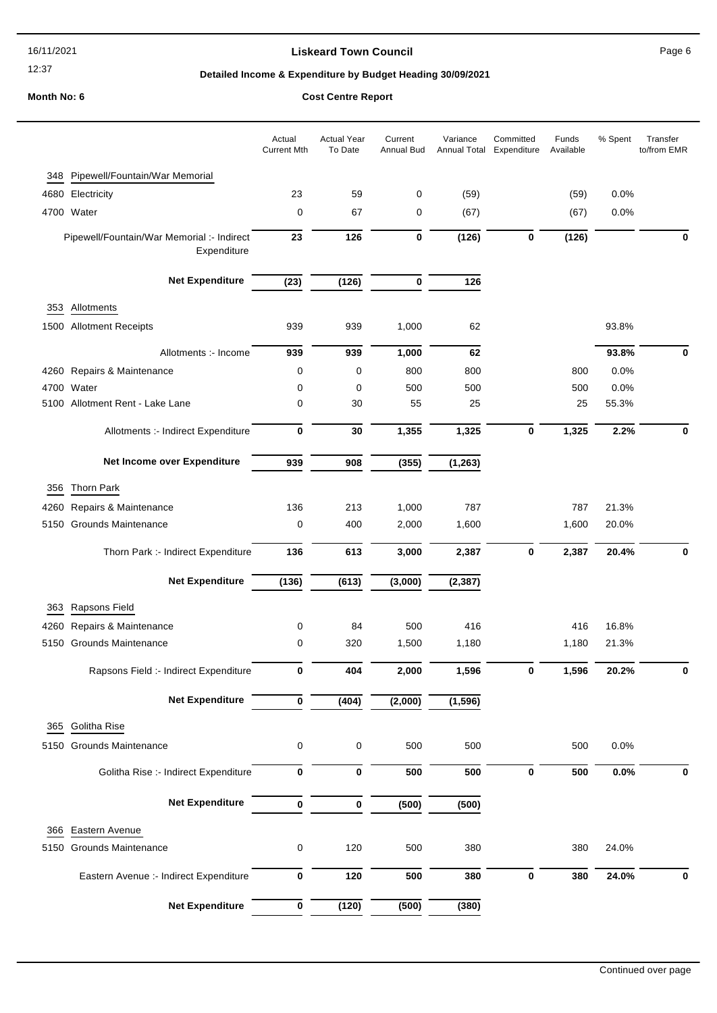16/11/2021

## 12:37

### **Liskeard Town Council Canadian Council** Page 6

# **Detailed Income & Expenditure by Budget Heading 30/09/2021**

|      |                                                           | Actual<br><b>Current Mth</b> | <b>Actual Year</b><br>To Date | Current<br>Annual Bud | Variance<br>Annual Total | Committed<br>Expenditure | Funds<br>Available | % Spent | Transfer<br>to/from EMR |
|------|-----------------------------------------------------------|------------------------------|-------------------------------|-----------------------|--------------------------|--------------------------|--------------------|---------|-------------------------|
| 348  | Pipewell/Fountain/War Memorial                            |                              |                               |                       |                          |                          |                    |         |                         |
|      | 4680 Electricity                                          | 23                           | 59                            | 0                     | (59)                     |                          | (59)               | 0.0%    |                         |
|      | 4700 Water                                                | $\mathbf 0$                  | 67                            | 0                     | (67)                     |                          | (67)               | 0.0%    |                         |
|      | Pipewell/Fountain/War Memorial :- Indirect<br>Expenditure | 23                           | 126                           | 0                     | (126)                    | $\bf{0}$                 | (126)              |         | $\bf{0}$                |
|      | <b>Net Expenditure</b>                                    | (23)                         | (126)                         | 0                     | 126                      |                          |                    |         |                         |
| 353  | Allotments                                                |                              |                               |                       |                          |                          |                    |         |                         |
|      | 1500 Allotment Receipts                                   | 939                          | 939                           | 1,000                 | 62                       |                          |                    | 93.8%   |                         |
|      | Allotments :- Income                                      | 939                          | 939                           | 1,000                 | 62                       |                          |                    | 93.8%   | 0                       |
|      | 4260 Repairs & Maintenance                                | 0                            | $\mathbf 0$                   | 800                   | 800                      |                          | 800                | 0.0%    |                         |
|      | 4700 Water                                                | 0                            | 0                             | 500                   | 500                      |                          | 500                | 0.0%    |                         |
|      | 5100 Allotment Rent - Lake Lane                           | 0                            | 30                            | 55                    | 25                       |                          | 25                 | 55.3%   |                         |
|      | Allotments :- Indirect Expenditure                        | 0                            | 30                            | 1,355                 | 1,325                    | $\bf{0}$                 | 1,325              | 2.2%    | $\bf{0}$                |
|      | Net Income over Expenditure                               | 939                          | 908                           | (355)                 | (1, 263)                 |                          |                    |         |                         |
|      | Thorn Park                                                |                              |                               |                       |                          |                          |                    |         |                         |
| 356  |                                                           | 136                          | 213                           |                       | 787                      |                          | 787                | 21.3%   |                         |
|      | 4260 Repairs & Maintenance<br>5150 Grounds Maintenance    | 0                            | 400                           | 1,000<br>2,000        | 1,600                    |                          | 1,600              | 20.0%   |                         |
|      |                                                           |                              |                               |                       |                          |                          |                    |         |                         |
|      | Thorn Park :- Indirect Expenditure                        | 136                          | 613                           | 3,000                 | 2,387                    | $\bf{0}$                 | 2,387              | 20.4%   | 0                       |
|      | <b>Net Expenditure</b>                                    | (136)                        | (613)                         | (3,000)               | (2, 387)                 |                          |                    |         |                         |
| 363  | Rapsons Field                                             |                              |                               |                       |                          |                          |                    |         |                         |
| 4260 | Repairs & Maintenance                                     | 0                            | 84                            | 500                   | 416                      |                          | 416                | 16.8%   |                         |
|      | 5150 Grounds Maintenance                                  | 0                            | 320                           | 1,500                 | 1,180                    |                          | 1,180              | 21.3%   |                         |
|      | Rapsons Field :- Indirect Expenditure                     | 0                            | 404                           | 2,000                 | 1,596                    | 0                        | 1,596              | 20.2%   | 0                       |
|      | <b>Net Expenditure</b>                                    | $\pmb{0}$                    | (404)                         | (2,000)               | (1, 596)                 |                          |                    |         |                         |
| 365  | Golitha Rise                                              |                              |                               |                       |                          |                          |                    |         |                         |
|      | 5150 Grounds Maintenance                                  | 0                            | 0                             | 500                   | 500                      |                          | 500                | 0.0%    |                         |
|      | Golitha Rise :- Indirect Expenditure                      | 0                            | $\pmb{0}$                     | 500                   | 500                      | $\bf{0}$                 | 500                | 0.0%    | $\bf{0}$                |
|      | <b>Net Expenditure</b>                                    | $\bf{0}$                     | 0                             | (500)                 | (500)                    |                          |                    |         |                         |
| 366  | Eastern Avenue                                            |                              |                               |                       |                          |                          |                    |         |                         |
| 5150 | <b>Grounds Maintenance</b>                                | 0                            | 120                           | 500                   | 380                      |                          | 380                | 24.0%   |                         |
|      |                                                           |                              |                               |                       |                          |                          |                    |         |                         |
|      | Eastern Avenue :- Indirect Expenditure                    | 0                            | 120                           | 500                   | 380                      | $\pmb{0}$                | 380                | 24.0%   | $\bf{0}$                |
|      | <b>Net Expenditure</b>                                    | 0                            | (120)                         | (500)                 | (380)                    |                          |                    |         |                         |